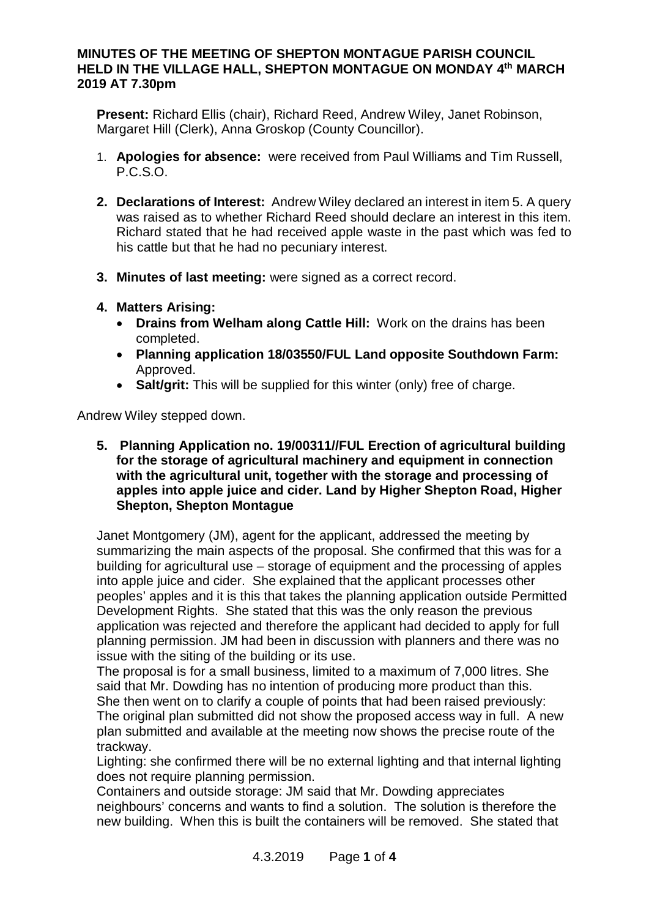## **MINUTES OF THE MEETING OF SHEPTON MONTAGUE PARISH COUNCIL HELD IN THE VILLAGE HALL, SHEPTON MONTAGUE ON MONDAY 4th MARCH 2019 AT 7.30pm**

**Present:** Richard Ellis (chair), Richard Reed, Andrew Wiley, Janet Robinson, Margaret Hill (Clerk), Anna Groskop (County Councillor).

- 1. **Apologies for absence:** were received from Paul Williams and Tim Russell, P.C.S.O.
- **2. Declarations of Interest:** Andrew Wiley declared an interest in item 5. A query was raised as to whether Richard Reed should declare an interest in this item. Richard stated that he had received apple waste in the past which was fed to his cattle but that he had no pecuniary interest.
- **3. Minutes of last meeting:** were signed as a correct record.
- **4. Matters Arising:**
	- · **Drains from Welham along Cattle Hill:** Work on the drains has been completed.
	- · **Planning application 18/03550/FUL Land opposite Southdown Farm:** Approved.
	- · **Salt/grit:** This will be supplied for this winter (only) free of charge.

Andrew Wiley stepped down.

**5. Planning Application no. 19/00311//FUL Erection of agricultural building for the storage of agricultural machinery and equipment in connection with the agricultural unit, together with the storage and processing of apples into apple juice and cider. Land by Higher Shepton Road, Higher Shepton, Shepton Montague**

Janet Montgomery (JM), agent for the applicant, addressed the meeting by summarizing the main aspects of the proposal. She confirmed that this was for a building for agricultural use – storage of equipment and the processing of apples into apple juice and cider. She explained that the applicant processes other peoples' apples and it is this that takes the planning application outside Permitted Development Rights. She stated that this was the only reason the previous application was rejected and therefore the applicant had decided to apply for full planning permission. JM had been in discussion with planners and there was no issue with the siting of the building or its use.

The proposal is for a small business, limited to a maximum of 7,000 litres. She said that Mr. Dowding has no intention of producing more product than this. She then went on to clarify a couple of points that had been raised previously: The original plan submitted did not show the proposed access way in full. A new plan submitted and available at the meeting now shows the precise route of the trackway.

Lighting: she confirmed there will be no external lighting and that internal lighting does not require planning permission.

Containers and outside storage: JM said that Mr. Dowding appreciates neighbours' concerns and wants to find a solution. The solution is therefore the new building. When this is built the containers will be removed. She stated that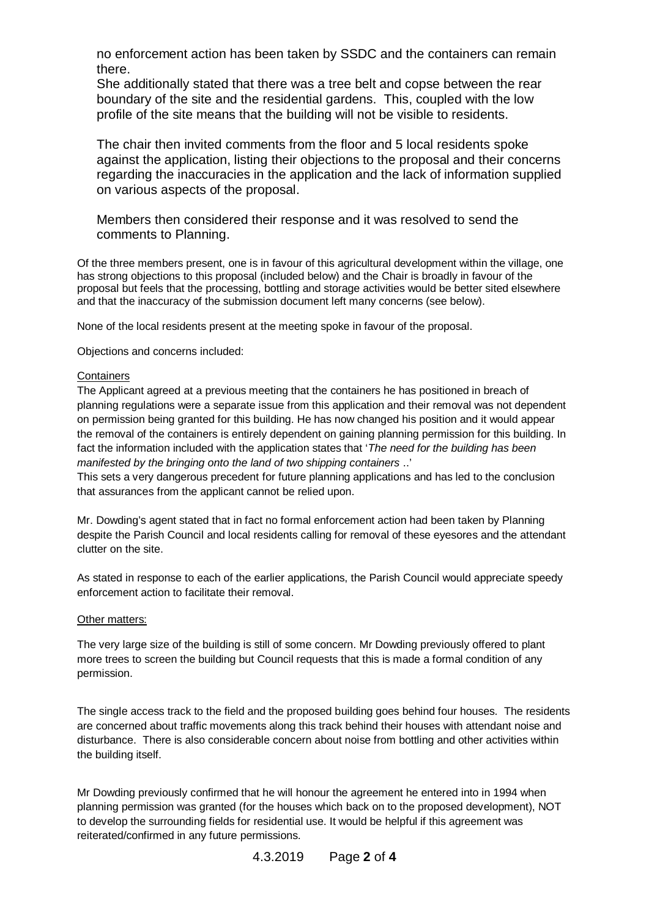no enforcement action has been taken by SSDC and the containers can remain there.

She additionally stated that there was a tree belt and copse between the rear boundary of the site and the residential gardens. This, coupled with the low profile of the site means that the building will not be visible to residents.

The chair then invited comments from the floor and 5 local residents spoke against the application, listing their objections to the proposal and their concerns regarding the inaccuracies in the application and the lack of information supplied on various aspects of the proposal.

Members then considered their response and it was resolved to send the comments to Planning.

Of the three members present, one is in favour of this agricultural development within the village, one has strong objections to this proposal (included below) and the Chair is broadly in favour of the proposal but feels that the processing, bottling and storage activities would be better sited elsewhere and that the inaccuracy of the submission document left many concerns (see below).

None of the local residents present at the meeting spoke in favour of the proposal.

Objections and concerns included:

#### **Containers**

The Applicant agreed at a previous meeting that the containers he has positioned in breach of planning regulations were a separate issue from this application and their removal was not dependent on permission being granted for this building. He has now changed his position and it would appear the removal of the containers is entirely dependent on gaining planning permission for this building. In fact the information included with the application states that '*The need for the building has been manifested by the bringing onto the land of two shipping containers* ..'

This sets a very dangerous precedent for future planning applications and has led to the conclusion that assurances from the applicant cannot be relied upon.

Mr. Dowding's agent stated that in fact no formal enforcement action had been taken by Planning despite the Parish Council and local residents calling for removal of these eyesores and the attendant clutter on the site.

As stated in response to each of the earlier applications, the Parish Council would appreciate speedy enforcement action to facilitate their removal.

### Other matters:

The very large size of the building is still of some concern. Mr Dowding previously offered to plant more trees to screen the building but Council requests that this is made a formal condition of any permission.

The single access track to the field and the proposed building goes behind four houses. The residents are concerned about traffic movements along this track behind their houses with attendant noise and disturbance. There is also considerable concern about noise from bottling and other activities within the building itself.

Mr Dowding previously confirmed that he will honour the agreement he entered into in 1994 when planning permission was granted (for the houses which back on to the proposed development), NOT to develop the surrounding fields for residential use. It would be helpful if this agreement was reiterated/confirmed in any future permissions.

4.3.2019 Page **2** of **4**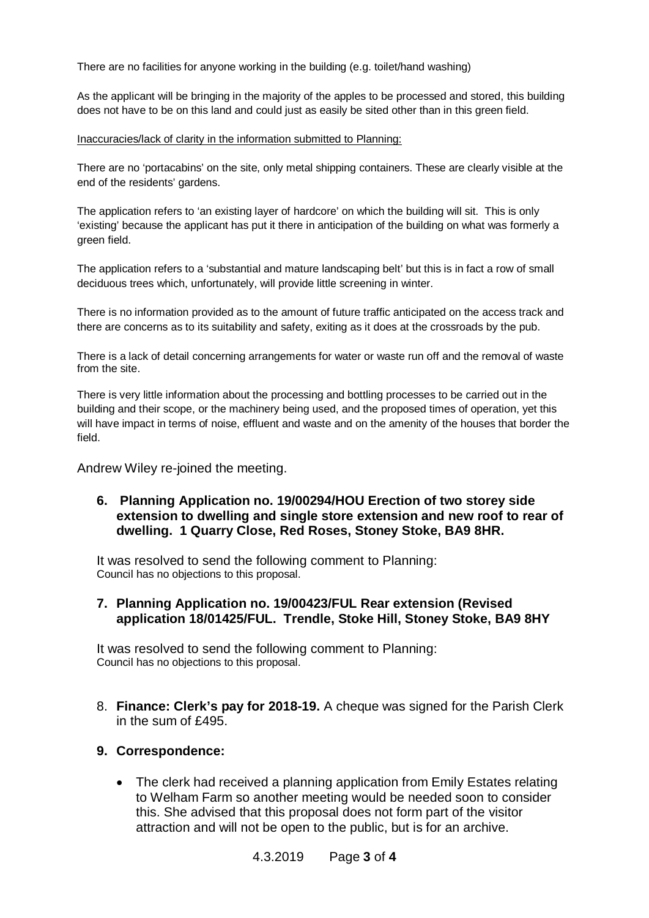There are no facilities for anyone working in the building (e.g. toilet/hand washing)

As the applicant will be bringing in the majority of the apples to be processed and stored, this building does not have to be on this land and could just as easily be sited other than in this green field.

### Inaccuracies/lack of clarity in the information submitted to Planning:

There are no 'portacabins' on the site, only metal shipping containers. These are clearly visible at the end of the residents' gardens.

The application refers to 'an existing layer of hardcore' on which the building will sit. This is only 'existing' because the applicant has put it there in anticipation of the building on what was formerly a green field.

The application refers to a 'substantial and mature landscaping belt' but this is in fact a row of small deciduous trees which, unfortunately, will provide little screening in winter.

There is no information provided as to the amount of future traffic anticipated on the access track and there are concerns as to its suitability and safety, exiting as it does at the crossroads by the pub.

There is a lack of detail concerning arrangements for water or waste run off and the removal of waste from the site.

There is very little information about the processing and bottling processes to be carried out in the building and their scope, or the machinery being used, and the proposed times of operation, yet this will have impact in terms of noise, effluent and waste and on the amenity of the houses that border the field.

Andrew Wiley re-joined the meeting.

## **6. Planning Application no. 19/00294/HOU Erection of two storey side extension to dwelling and single store extension and new roof to rear of dwelling. 1 Quarry Close, Red Roses, Stoney Stoke, BA9 8HR.**

It was resolved to send the following comment to Planning: Council has no objections to this proposal.

### **7. Planning Application no. 19/00423/FUL Rear extension (Revised application 18/01425/FUL. Trendle, Stoke Hill, Stoney Stoke, BA9 8HY**

It was resolved to send the following comment to Planning: Council has no objections to this proposal.

8. **Finance: Clerk's pay for 2018-19.** A cheque was signed for the Parish Clerk in the sum of £495.

### **9. Correspondence:**

· The clerk had received a planning application from Emily Estates relating to Welham Farm so another meeting would be needed soon to consider this. She advised that this proposal does not form part of the visitor attraction and will not be open to the public, but is for an archive.

4.3.2019 Page **3** of **4**